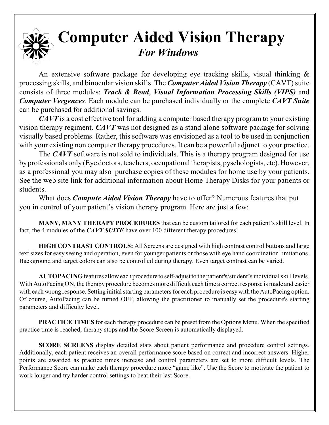## **Computer Aided Vision Therapy** *For Windows*

An extensive software package for developing eye tracking skills, visual thinking & processing skills, and binocular vision skills. The *Computer Aided Vision Therapy* (CAVT) suite consists of three modules: *Track & Read*, *Visual Information Processing Skills (VIPS)* and *Computer Vergences*. Each module can be purchased individually or the complete *CAVT Suite* can be purchased for additional savings.

*CAVT* is a cost effective tool for adding a computer based therapy program to your existing vision therapy regiment. *CAVT* was not designed as a stand alone software package for solving visually based problems. Rather, this software was envisioned as a tool to be used in conjunction with your existing non computer therapy procedures. It can be a powerful adjunct to your practice.

The *CAVT* software is not sold to individuals. This is a therapy program designed for use by professionals only (Eye doctors, teachers, occupational therapists, pyschologists, etc). However, as a professional you may also purchase copies of these modules for home use by your patients. See the web site link for additional information about Home Therapy Disks for your patients or students.

What does *Compute Aided Vision Therapy* have to offer? Numerous features that put you in control of your patient's vision therapy program. Here are just a few:

**MANY, MANY THERAPY PROCEDURES** that can be custom tailored for each patient's skill level. In fact, the 4 modules of the *CAVT SUITE* have over 100 different therapy procedures!

**HIGH CONTRAST CONTROLS:** All Screens are designed with high contrast control buttons and large text sizes for easy seeing and operation, even for younger patients or those with eye hand coordination limitations. Background and target colors can also be controlled during therapy. Even target contrast can be varied.

**AUTOPACING** features allow each procedure to self-adjust to the patient's/student's individual skill levels. With AutoPacing ON, the therapy procedure becomes more difficult each time a correct response is made and easier with each wrong response. Setting initial starting parameters for each procedure is easy with the AutoPacing option. Of course, AutoPacing can be turned OFF, allowing the practitioner to manually set the procedure's starting parameters and difficulty level.

**PRACTICE TIMES** for each therapy procedure can be preset from the Options Menu. When the specified practice time is reached, therapy stops and the Score Screen is automatically displayed.

**SCORE SCREENS** display detailed stats about patient performance and procedure control settings. Additionally, each patient receives an overall performance score based on correct and incorrect answers. Higher points are awarded as practice times increase and control parameters are set to more difficult levels. The Performance Score can make each therapy procedure more "game like". Use the Score to motivate the patient to work longer and try harder control settings to beat their last Score.